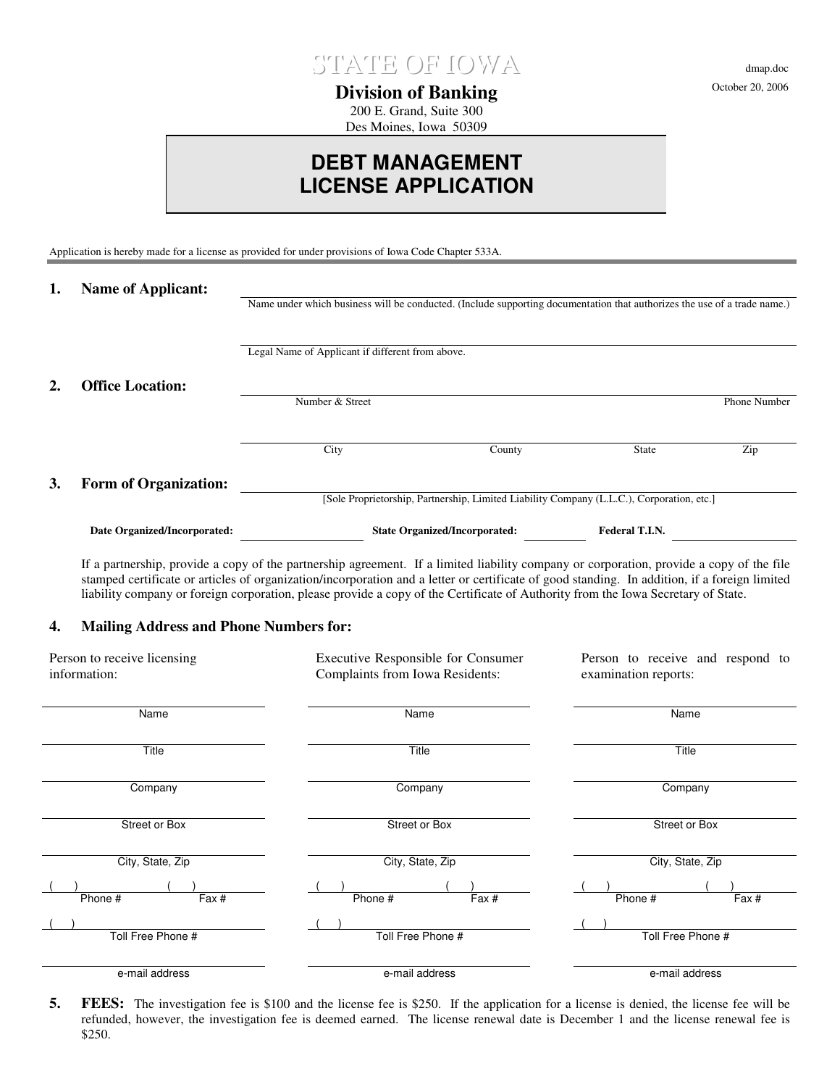

**Division of Banking** 200 E. Grand, Suite 300

Des Moines, Iowa 50309

# **DEBT MANAGEMENT LICENSE APPLICATION**

Application is hereby made for a license as provided for under provisions of Iowa Code Chapter 533A.

| 1. | <b>Name of Applicant:</b>    |                                                                                                                          |                                                                                           |                |              |
|----|------------------------------|--------------------------------------------------------------------------------------------------------------------------|-------------------------------------------------------------------------------------------|----------------|--------------|
|    |                              | Name under which business will be conducted. (Include supporting documentation that authorizes the use of a trade name.) |                                                                                           |                |              |
|    |                              | Legal Name of Applicant if different from above.                                                                         |                                                                                           |                |              |
| 2. | <b>Office Location:</b>      |                                                                                                                          |                                                                                           |                |              |
|    |                              | Number & Street                                                                                                          |                                                                                           |                | Phone Number |
|    |                              |                                                                                                                          |                                                                                           |                |              |
|    |                              | City                                                                                                                     | County                                                                                    | <b>State</b>   | Zip          |
| 3. | <b>Form of Organization:</b> |                                                                                                                          |                                                                                           |                |              |
|    |                              |                                                                                                                          | [Sole Proprietorship, Partnership, Limited Liability Company (L.L.C.), Corporation, etc.] |                |              |
|    | Date Organized/Incorporated: |                                                                                                                          | <b>State Organized/Incorporated:</b>                                                      | Federal T.I.N. |              |

If a partnership, provide a copy of the partnership agreement. If a limited liability company or corporation, provide a copy of the file stamped certificate or articles of organization/incorporation and a letter or certificate of good standing. In addition, if a foreign limited liability company or foreign corporation, please provide a copy of the Certificate of Authority from the Iowa Secretary of State.

### **4. Mailing Address and Phone Numbers for:**

| Person to receive licensing<br>information: | Executive Responsible for Consumer<br>Complaints from Iowa Residents: | Person to receive and respond to<br>examination reports: |  |
|---------------------------------------------|-----------------------------------------------------------------------|----------------------------------------------------------|--|
| Name                                        | Name                                                                  | Name                                                     |  |
| Title                                       | Title                                                                 | Title                                                    |  |
| Company                                     | Company                                                               | Company                                                  |  |
| Street or Box                               | Street or Box                                                         | Street or Box                                            |  |
| City, State, Zip                            | City, State, Zip                                                      | City, State, Zip                                         |  |
| Phone #<br>Fax #                            | Phone #<br>Fax #                                                      | Phone #<br>Fax #                                         |  |
|                                             |                                                                       |                                                          |  |
| Toll Free Phone #                           | Toll Free Phone #                                                     | Toll Free Phone #                                        |  |
| e-mail address                              | e-mail address                                                        | e-mail address                                           |  |

**5.** FEES: The investigation fee is \$100 and the license fee is \$250. If the application for a license is denied, the license fee will be refunded, however, the investigation fee is deemed earned. The license renewal date is December 1 and the license renewal fee is \$250.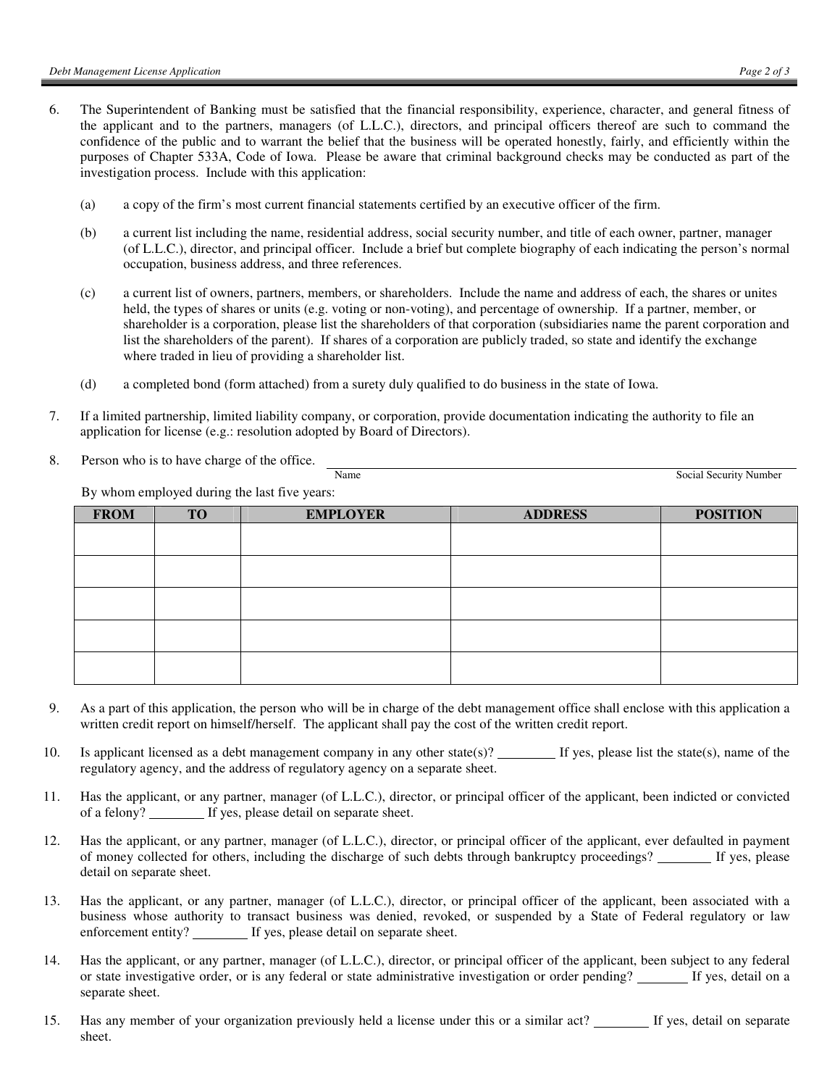- 6. The Superintendent of Banking must be satisfied that the financial responsibility, experience, character, and general fitness of the applicant and to the partners, managers (of L.L.C.), directors, and principal officers thereof are such to command the confidence of the public and to warrant the belief that the business will be operated honestly, fairly, and efficiently within the purposes of Chapter 533A, Code of Iowa. Please be aware that criminal background checks may be conducted as part of the investigation process. Include with this application:
	- (a) a copy of the firm's most current financial statements certified by an executive officer of the firm.
	- (b) a current list including the name, residential address, social security number, and title of each owner, partner, manager (of L.L.C.), director, and principal officer. Include a brief but complete biography of each indicating the person's normal occupation, business address, and three references.
	- (c) a current list of owners, partners, members, or shareholders. Include the name and address of each, the shares or unites held, the types of shares or units (e.g. voting or non-voting), and percentage of ownership. If a partner, member, or shareholder is a corporation, please list the shareholders of that corporation (subsidiaries name the parent corporation and list the shareholders of the parent). If shares of a corporation are publicly traded, so state and identify the exchange where traded in lieu of providing a shareholder list.
	- (d) a completed bond (form attached) from a surety duly qualified to do business in the state of Iowa.
- 7. If a limited partnership, limited liability company, or corporation, provide documentation indicating the authority to file an application for license (e.g.: resolution adopted by Board of Directors).
- 8. Person who is to have charge of the office.

Name Social Security Number

By whom employed during the last five years:

| <b>FROM</b> | <b>TO</b> | <b>EMPLOYER</b> | <b>ADDRESS</b> | <b>POSITION</b> |
|-------------|-----------|-----------------|----------------|-----------------|
|             |           |                 |                |                 |
|             |           |                 |                |                 |
|             |           |                 |                |                 |
|             |           |                 |                |                 |
|             |           |                 |                |                 |
|             |           |                 |                |                 |
|             |           |                 |                |                 |
|             |           |                 |                |                 |
|             |           |                 |                |                 |
|             |           |                 |                |                 |

- 9. As a part of this application, the person who will be in charge of the debt management office shall enclose with this application a written credit report on himself/herself. The applicant shall pay the cost of the written credit report.
- 10. Is applicant licensed as a debt management company in any other state(s)? If yes, please list the state(s), name of the regulatory agency, and the address of regulatory agency on a separate sheet.
- 11. Has the applicant, or any partner, manager (of L.L.C.), director, or principal officer of the applicant, been indicted or convicted of a felony? If yes, please detail on separate sheet.
- 12. Has the applicant, or any partner, manager (of L.L.C.), director, or principal officer of the applicant, ever defaulted in payment of money collected for others, including the discharge of such debts through bankruptcy proceedings? If yes, please detail on separate sheet.
- 13. Has the applicant, or any partner, manager (of L.L.C.), director, or principal officer of the applicant, been associated with a business whose authority to transact business was denied, revoked, or suspended by a State of Federal regulatory or law enforcement entity? \_\_\_\_\_\_\_ If yes, please detail on separate sheet.
- 14. Has the applicant, or any partner, manager (of L.L.C.), director, or principal officer of the applicant, been subject to any federal or state investigative order, or is any federal or state administrative investigation or order pending? If yes, detail on a separate sheet.
- 15. Has any member of your organization previously held a license under this or a similar act? If yes, detail on separate sheet.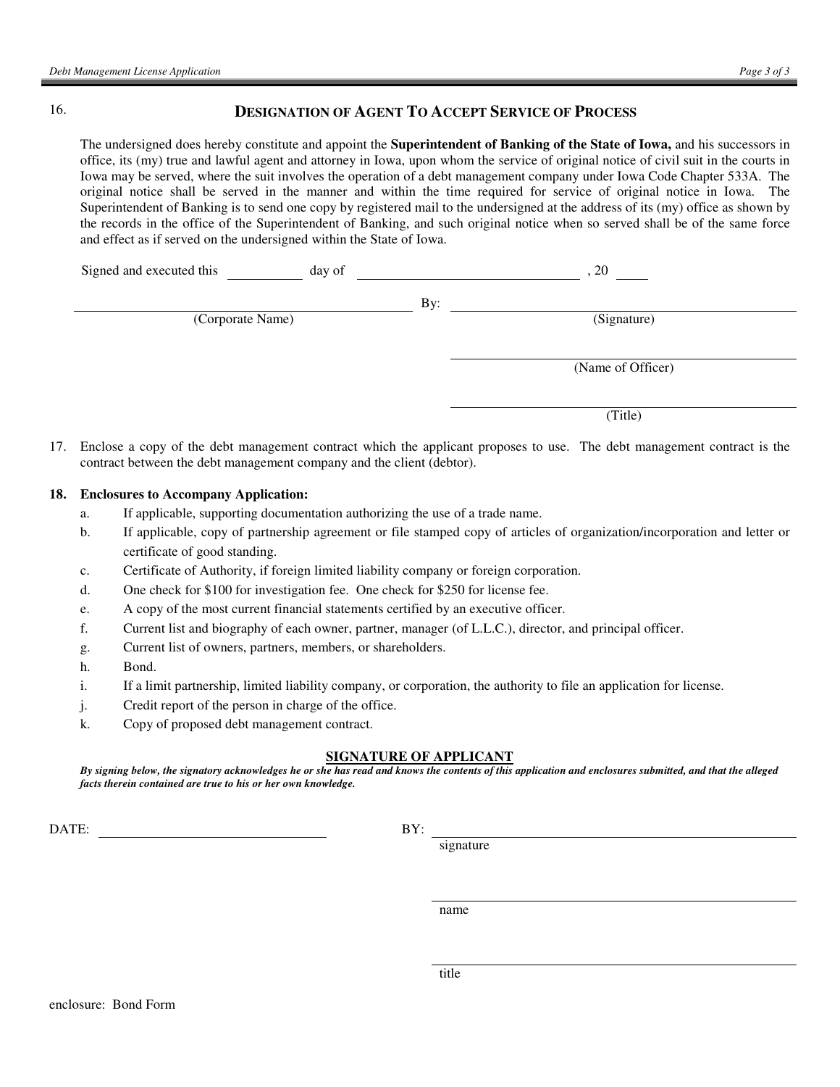## 16. **DESIGNATION OF AGENT TO ACCEPT SERVICE OF PROCESS**

The undersigned does hereby constitute and appoint the **Superintendent of Banking of the State of Iowa,** and his successors in office, its (my) true and lawful agent and attorney in Iowa, upon whom the service of original notice of civil suit in the courts in Iowa may be served, where the suit involves the operation of a debt management company under Iowa Code Chapter 533A. The original notice shall be served in the manner and within the time required for service of original notice in Iowa. The Superintendent of Banking is to send one copy by registered mail to the undersigned at the address of its (my) office as shown by the records in the office of the Superintendent of Banking, and such original notice when so served shall be of the same force and effect as if served on the undersigned within the State of Iowa.

| Signed and executed this | day of | 20 <sub>1</sub>   |
|--------------------------|--------|-------------------|
|                          | By:    |                   |
| (Corporate Name)         |        | (Signature)       |
|                          |        |                   |
|                          |        | (Name of Officer) |
|                          |        |                   |
|                          |        | (Title)           |

17. Enclose a copy of the debt management contract which the applicant proposes to use. The debt management contract is the contract between the debt management company and the client (debtor).

#### **18. Enclosures to Accompany Application:**

- a. If applicable, supporting documentation authorizing the use of a trade name.
- b. If applicable, copy of partnership agreement or file stamped copy of articles of organization/incorporation and letter or certificate of good standing.
- c. Certificate of Authority, if foreign limited liability company or foreign corporation.
- d. One check for \$100 for investigation fee. One check for \$250 for license fee.
- e. A copy of the most current financial statements certified by an executive officer.
- f. Current list and biography of each owner, partner, manager (of L.L.C.), director, and principal officer.
- g. Current list of owners, partners, members, or shareholders.
- h. Bond.
- i. If a limit partnership, limited liability company, or corporation, the authority to file an application for license.
- j. Credit report of the person in charge of the office.
- k. Copy of proposed debt management contract.

#### **SIGNATURE OF APPLICANT**

*By signing below, the signatory acknowledges he or she has read and knows the contents of this application and enclosures submitted, and that the alleged facts therein contained are true to his or her own knowledge.*

DATE: BY:

signature

name name

title and the state of the state of the state of the state of the state of the state of the state of the state of the state of the state of the state of the state of the state of the state of the state of the state of the